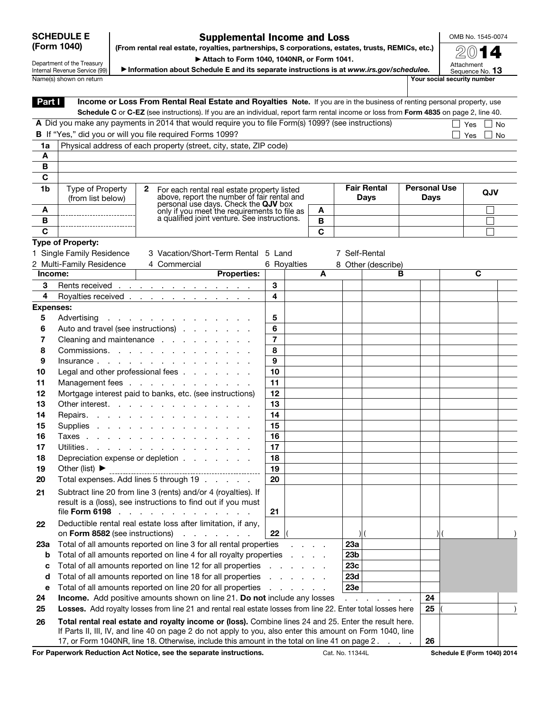## SCHEDULE E (Form 1040)

## Supplemental Income and Loss (From rental real estate, royalties, partnerships, S corporations, estates, trusts, REMICs, etc.)

OMB No. 1545-0074

Department of the Treasury Internal Revenue Service (99) Name(s) shown on return **Name(s)** shown on return **Your social security number** 

▶ Attach to Form 1040, 1040NR, or Form 1041. ▶ Information about Schedule E and its separate instructions is at *www.irs.gov/schedulee.*

2014 Attachment Sequence No. 13

Part Income or Loss From Rental Real Estate and Royalties Note. If you are in the business of renting personal property, use Schedule C or C-EZ (see instructions). If you are an individual, report farm rental income or loss from Form 4835 on page 2, line 40. A Did you make any payments in 2014 that would require you to file Form(s) 1099? (see instructions)  $\Box$  Yes  $\Box$  No **B** If "Yes," did you or will you file required Forms 1099? 1a | Physical address of each property (street, city, state, ZIP code) A B C 1b | Type of Property (from list below) A B  $\overline{\mathbf{c}}$ 2 For each rental real estate property listed above, report the number of fair rental and<br>personal use days. Check the **QJV** box only if you meet the requirements to file as a qualified joint venture. See instructions. Fair Rental Days Personal Use bonar Ose | QJV<br>Days A B C Type of Property: 1 Single Family Residence 2 Multi-Family Residence 3 Vacation/Short-Term Rental 5 Land 4 Commercial 6 Royalties 7 Self-Rental 8 Other (describe) Income: Properties: A B C 3 Rents received . . . . . . . . . . . . . 3 4 Royalties received . . . . . . . . . . . . 4 Expenses: 5 Advertising . . . . . . . . . . . . . . 5 6 Auto and travel (see instructions) . . . . . . . 6 7 Cleaning and maintenance  $\cdots$  . . . . . . . 7 8 Commissions. . . . . . . . . . . . . 8 9 Insurance . . . . . . . . . . . . . . 9 10 Legal and other professional fees . . . . . . . 10 11 Management fees . . . . . . . . . . .  $\vert$  11 12 Mortgage interest paid to banks, etc. (see instructions) | 12 13 Other interest. . . . . . . . . . . . . . 13 14 Repairs. . . . . . . . . . . . . . . 14 15 Supplies . . . . . . . . . . . . . . 15 16 Taxes . . . . . . . . . . . . . . . 16 **17** Utilities. . . . . . . . . . . . . . . . 17 18 Depreciation expense or depletion . . . . . . . | 18 19 Other (list)  $\triangleright$  19 19 20 Total expenses. Add lines 5 through  $19 \ldots$ . . . 20 21 Subtract line 20 from line 3 (rents) and/or 4 (royalties). If result is a (loss), see instructions to find out if you must file Form 6198 . . . . . . . . . . . . . 21 22 Deductible rental real estate loss after limitation, if any, on Form 8582 (see instructions)  $\therefore$  . . . . . 22 23a Total of all amounts reported on line 3 for all rental properties . . . . . 23a **b** Total of all amounts reported on line 4 for all royalty properties . . . . . 23b c Total of all amounts reported on line 12 for all properties  $\ldots$  . . . . . 23c d Total of all amounts reported on line 18 for all properties  $\ldots$  . . .  $\vert$  23d e Total of all amounts reported on line 20 for all properties . . . . . . . 23e **24 Income.** Add positive amounts shown on line 21. Do not include any losses  $\ldots$  . . . . . . . 24 25 Losses. Add royalty losses from line 21 and rental real estate losses from line 22. Enter total losses here 25 26 Total rental real estate and royalty income or (loss). Combine lines 24 and 25. Enter the result here. If Parts II, III, IV, and line 40 on page 2 do not apply to you, also enter this amount on Form 1040, line

17, or Form 1040NR, line 18. Otherwise, include this amount in the total on line 41 on page 2. . . . . 26

For Paperwork Reduction Act Notice, see the separate instructions. Cat. No. 11344L Schedule E (Form 1040) 2014